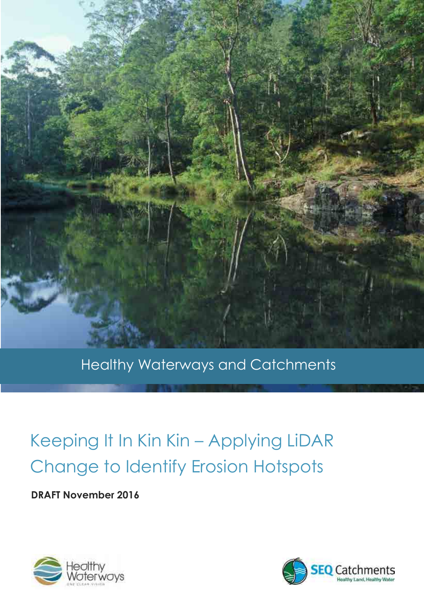

Healthy Waterways and Catchments

# Keeping It In Kin Kin – Applying LiDAR Change to Identify Erosion Hotspots

**DRAFT November 2016**



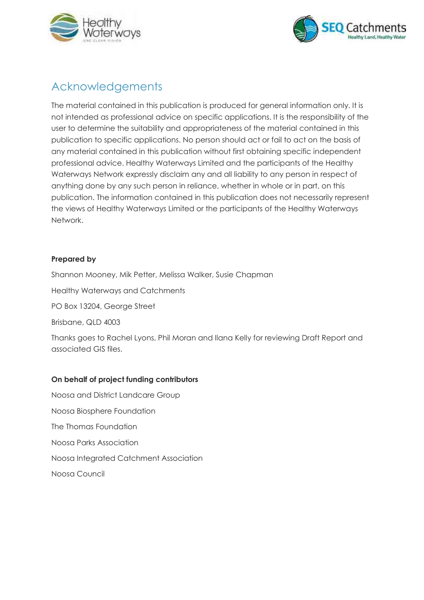



# Acknowledgements

The material contained in this publication is produced for general information only. It is not intended as professional advice on specific applications. It is the responsibility of the user to determine the suitability and appropriateness of the material contained in this publication to specific applications. No person should act or fail to act on the basis of any material contained in this publication without first obtaining specific independent professional advice. Healthy Waterways Limited and the participants of the Healthy Waterways Network expressly disclaim any and all liability to any person in respect of anything done by any such person in reliance, whether in whole or in part, on this publication. The information contained in this publication does not necessarily represent the views of Healthy Waterways Limited or the participants of the Healthy Waterways Network.

#### **Prepared by**

Shannon Mooney, Mik Petter, Melissa Walker, Susie Chapman

Healthy Waterways and Catchments

PO Box 13204, George Street

Brisbane, QLD 4003

Thanks goes to Rachel Lyons, Phil Moran and Ilana Kelly for reviewing Draft Report and associated GIS files.

#### **On behalf of project funding contributors**

Noosa and District Landcare Group Noosa Biosphere Foundation The Thomas Foundation Noosa Parks Association Noosa Integrated Catchment Association Noosa Council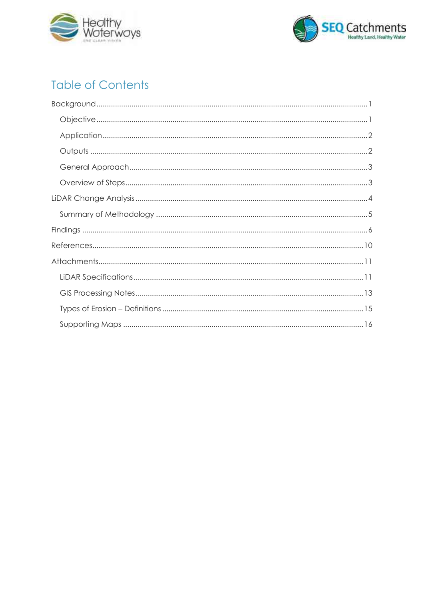



# **Table of Contents**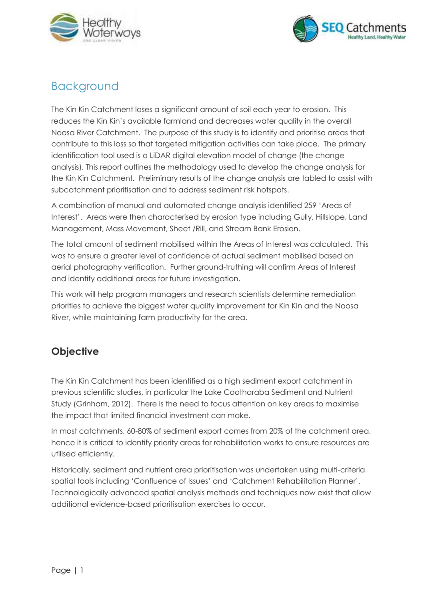



# <span id="page-3-0"></span>Background

The Kin Kin Catchment loses a significant amount of soil each year to erosion. This reduces the Kin Kin's available farmland and decreases water quality in the overall Noosa River Catchment. The purpose of this study is to identify and prioritise areas that contribute to this loss so that targeted mitigation activities can take place. The primary identification tool used is a LiDAR digital elevation model of change (the change analysis). This report outlines the methodology used to develop the change analysis for the Kin Kin Catchment. Preliminary results of the change analysis are tabled to assist with subcatchment prioritisation and to address sediment risk hotspots.

A combination of manual and automated change analysis identified 259 'Areas of Interest'. Areas were then characterised by erosion type including Gully, Hillslope, Land Management, Mass Movement, Sheet /Rill, and Stream Bank Erosion.

The total amount of sediment mobilised within the Areas of Interest was calculated. This was to ensure a greater level of confidence of actual sediment mobilised based on aerial photography verification. Further ground-truthing will confirm Areas of Interest and identify additional areas for future investigation.

This work will help program managers and research scientists determine remediation priorities to achieve the biggest water quality improvement for Kin Kin and the Noosa River, while maintaining farm productivity for the area.

# <span id="page-3-1"></span>**Objective**

The Kin Kin Catchment has been identified as a high sediment export catchment in previous scientific studies, in particular the Lake Cootharaba Sediment and Nutrient Study (Grinham, 2012). There is the need to focus attention on key areas to maximise the impact that limited financial investment can make.

In most catchments, 60-80% of sediment export comes from 20% of the catchment area, hence it is critical to identify priority areas for rehabilitation works to ensure resources are utilised efficiently.

Historically, sediment and nutrient area prioritisation was undertaken using multi-criteria spatial tools including 'Confluence of Issues' and 'Catchment Rehabilitation Planner'. Technologically advanced spatial analysis methods and techniques now exist that allow additional evidence-based prioritisation exercises to occur.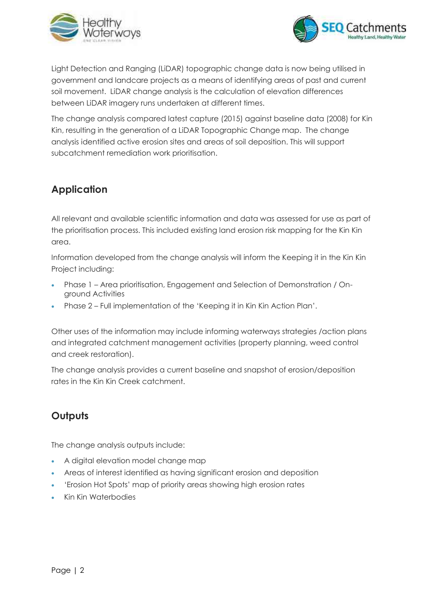



Light Detection and Ranging (LiDAR) topographic change data is now being utilised in government and landcare projects as a means of identifying areas of past and current soil movement. LiDAR change analysis is the calculation of elevation differences between LiDAR imagery runs undertaken at different times.

The change analysis compared latest capture (2015) against baseline data (2008) for Kin Kin, resulting in the generation of a LiDAR Topographic Change map. The change analysis identified active erosion sites and areas of soil deposition. This will support subcatchment remediation work prioritisation.

### <span id="page-4-0"></span>**Application**

All relevant and available scientific information and data was assessed for use as part of the prioritisation process. This included existing land erosion risk mapping for the Kin Kin area.

Information developed from the change analysis will inform the Keeping it in the Kin Kin Project including:

- Phase 1 Area prioritisation, Engagement and Selection of Demonstration / Onground Activities
- Phase 2 Full implementation of the 'Keeping it in Kin Kin Action Plan'.

Other uses of the information may include informing waterways strategies /action plans and integrated catchment management activities (property planning, weed control and creek restoration).

The change analysis provides a current baseline and snapshot of erosion/deposition rates in the Kin Kin Creek catchment.

# <span id="page-4-1"></span>**Outputs**

The change analysis outputs include:

- A digital elevation model change map
- Areas of interest identified as having significant erosion and deposition
- 'Erosion Hot Spots' map of priority areas showing high erosion rates
- Kin Kin Waterbodies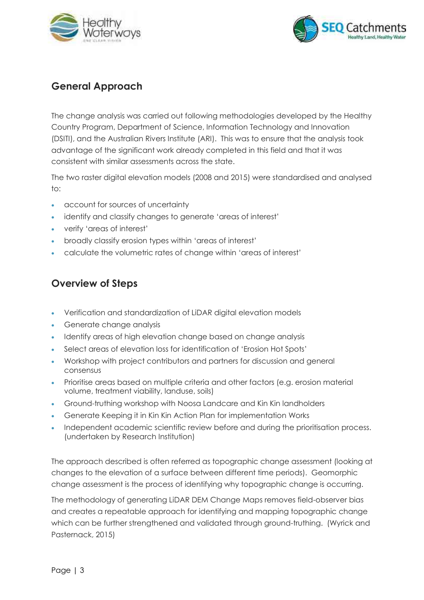



### <span id="page-5-0"></span>**General Approach**

The change analysis was carried out following methodologies developed by the Healthy Country Program, Department of Science, Information Technology and Innovation (DSITI), and the Australian Rivers Institute (ARI). This was to ensure that the analysis took advantage of the significant work already completed in this field and that it was consistent with similar assessments across the state.

The two raster digital elevation models (2008 and 2015) were standardised and analysed to:

- account for sources of uncertainty
- identify and classify changes to generate 'areas of interest'
- verify 'areas of interest'
- broadly classify erosion types within 'areas of interest'
- calculate the volumetric rates of change within 'areas of interest'

### <span id="page-5-1"></span>**Overview of Steps**

- Verification and standardization of LiDAR digital elevation models
- Generate change analysis
- Identify areas of high elevation change based on change analysis
- Select areas of elevation loss for identification of 'Erosion Hot Spots'
- Workshop with project contributors and partners for discussion and general consensus
- Prioritise areas based on multiple criteria and other factors (e.g. erosion material volume, treatment viability, landuse, soils)
- Ground-truthing workshop with Noosa Landcare and Kin Kin landholders
- Generate Keeping it in Kin Kin Action Plan for implementation Works
- Independent academic scientific review before and during the prioritisation process. (undertaken by Research Institution)

The approach described is often referred as topographic change assessment (looking at changes to the elevation of a surface between different time periods). Geomorphic change assessment is the process of identifying why topographic change is occurring.

The methodology of generating LiDAR DEM Change Maps removes field-observer bias and creates a repeatable approach for identifying and mapping topographic change which can be further strengthened and validated through ground-truthing. (Wyrick and Pasternack, 2015)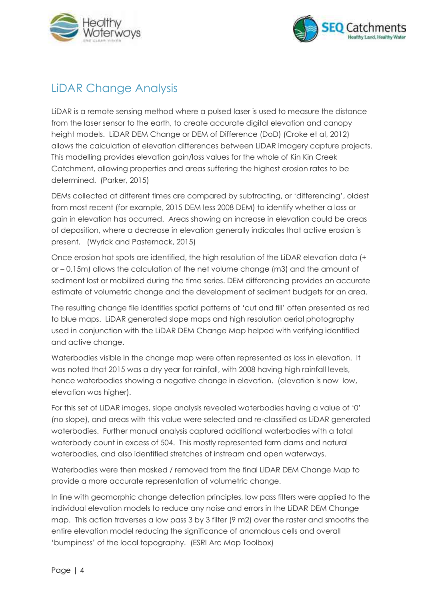



# <span id="page-6-0"></span>LiDAR Change Analysis

LiDAR is a remote sensing method where a pulsed laser is used to measure the distance from the laser sensor to the earth, to create accurate digital elevation and canopy height models. LiDAR DEM Change or DEM of Difference (DoD) (Croke et al, 2012) allows the calculation of elevation differences between LiDAR imagery capture projects. This modelling provides elevation gain/loss values for the whole of Kin Kin Creek Catchment, allowing properties and areas suffering the highest erosion rates to be determined. (Parker, 2015)

DEMs collected at different times are compared by subtracting, or 'differencing', oldest from most recent (for example, 2015 DEM less 2008 DEM) to identify whether a loss or gain in elevation has occurred. Areas showing an increase in elevation could be areas of deposition, where a decrease in elevation generally indicates that active erosion is present. (Wyrick and Pasternack, 2015)

Once erosion hot spots are identified, the high resolution of the LiDAR elevation data (+ or – 0.15m) allows the calculation of the net volume change (m3) and the amount of sediment lost or mobilized during the time series. DEM differencing provides an accurate estimate of volumetric change and the development of sediment budgets for an area.

The resulting change file identifies spatial patterns of 'cut and fill' often presented as red to blue maps. LiDAR generated slope maps and high resolution aerial photography used in conjunction with the LiDAR DEM Change Map helped with verifying identified and active change.

Waterbodies visible in the change map were often represented as loss in elevation. It was noted that 2015 was a dry year for rainfall, with 2008 having high rainfall levels, hence waterbodies showing a negative change in elevation. (elevation is now low, elevation was higher).

For this set of LiDAR images, slope analysis revealed waterbodies having a value of '0' (no slope), and areas with this value were selected and re-classified as LiDAR generated waterbodies. Further manual analysis captured additional waterbodies with a total waterbody count in excess of 504. This mostly represented farm dams and natural waterbodies, and also identified stretches of instream and open waterways.

Waterbodies were then masked / removed from the final LiDAR DEM Change Map to provide a more accurate representation of volumetric change.

In line with geomorphic change detection principles, low pass filters were applied to the individual elevation models to reduce any noise and errors in the LiDAR DEM Change map. This action traverses a low pass 3 by 3 filter (9 m2) over the raster and smooths the entire elevation model reducing the significance of anomalous cells and overall 'bumpiness' of the local topography. (ESRI Arc Map Toolbox)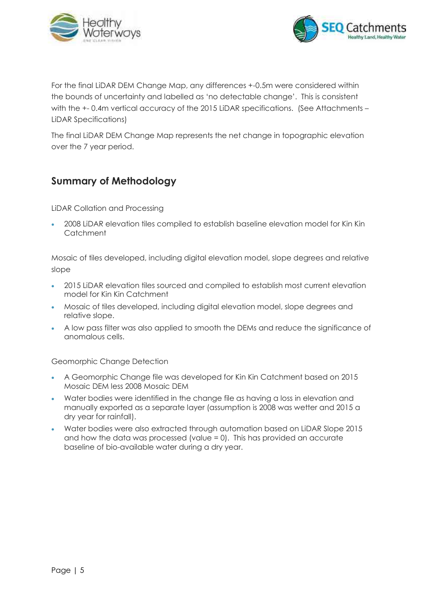



For the final LiDAR DEM Change Map, any differences +-0.5m were considered within the bounds of uncertainty and labelled as 'no detectable change'. This is consistent with the +-0.4m vertical accuracy of the 2015 LiDAR specifications. (See Attachments -LiDAR Specifications)

The final LiDAR DEM Change Map represents the net change in topographic elevation over the 7 year period.

### <span id="page-7-0"></span>**Summary of Methodology**

LiDAR Collation and Processing

 2008 LiDAR elevation tiles compiled to establish baseline elevation model for Kin Kin **Catchment** 

Mosaic of tiles developed, including digital elevation model, slope degrees and relative slope

- 2015 LiDAR elevation tiles sourced and compiled to establish most current elevation model for Kin Kin Catchment
- Mosaic of tiles developed, including digital elevation model, slope degrees and relative slope.
- A low pass filter was also applied to smooth the DEMs and reduce the significance of anomalous cells.

Geomorphic Change Detection

- A Geomorphic Change file was developed for Kin Kin Catchment based on 2015 Mosaic DEM less 2008 Mosaic DEM
- Water bodies were identified in the change file as having a loss in elevation and manually exported as a separate layer (assumption is 2008 was wetter and 2015 a dry year for rainfall).
- Water bodies were also extracted through automation based on LiDAR Slope 2015 and how the data was processed (value = 0). This has provided an accurate baseline of bio-available water during a dry year.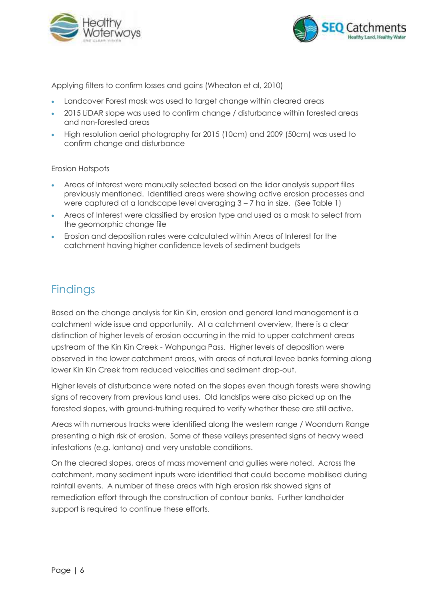



Applying filters to confirm losses and gains (Wheaton et al, 2010)

- Landcover Forest mask was used to target change within cleared areas
- 2015 LiDAR slope was used to confirm change / disturbance within forested areas and non-forested areas
- High resolution aerial photography for 2015 (10cm) and 2009 (50cm) was used to confirm change and disturbance

#### Erosion Hotspots

- Areas of Interest were manually selected based on the lidar analysis support files previously mentioned. Identified areas were showing active erosion processes and were captured at a landscape level averaging 3 – 7 ha in size. (See Table 1)
- Areas of Interest were classified by erosion type and used as a mask to select from the geomorphic change file
- Erosion and deposition rates were calculated within Areas of Interest for the catchment having higher confidence levels of sediment budgets

# <span id="page-8-0"></span>**Findings**

Based on the change analysis for Kin Kin, erosion and general land management is a catchment wide issue and opportunity. At a catchment overview, there is a clear distinction of higher levels of erosion occurring in the mid to upper catchment areas upstream of the Kin Kin Creek - Wahpunga Pass. Higher levels of deposition were observed in the lower catchment areas, with areas of natural levee banks forming along lower Kin Kin Creek from reduced velocities and sediment drop-out.

Higher levels of disturbance were noted on the slopes even though forests were showing signs of recovery from previous land uses. Old landslips were also picked up on the forested slopes, with ground-truthing required to verify whether these are still active.

Areas with numerous tracks were identified along the western range / Woondum Range presenting a high risk of erosion. Some of these valleys presented signs of heavy weed infestations (e.g. lantana) and very unstable conditions.

On the cleared slopes, areas of mass movement and gullies were noted. Across the catchment, many sediment inputs were identified that could become mobilised during rainfall events. A number of these areas with high erosion risk showed signs of remediation effort through the construction of contour banks. Further landholder support is required to continue these efforts.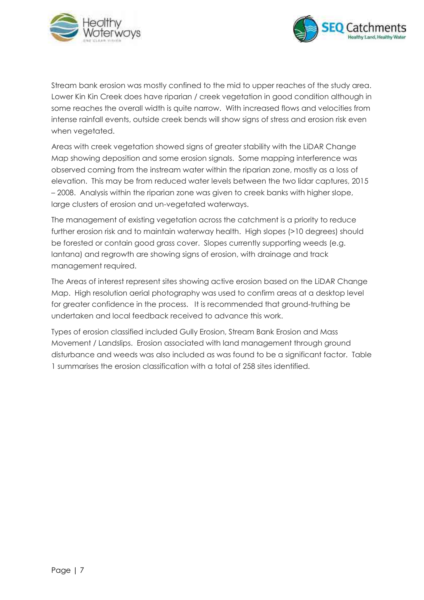



Stream bank erosion was mostly confined to the mid to upper reaches of the study area. Lower Kin Kin Creek does have riparian / creek vegetation in good condition although in some reaches the overall width is quite narrow. With increased flows and velocities from intense rainfall events, outside creek bends will show signs of stress and erosion risk even when vegetated.

Areas with creek vegetation showed signs of greater stability with the LiDAR Change Map showing deposition and some erosion signals. Some mapping interference was observed coming from the instream water within the riparian zone, mostly as a loss of elevation. This may be from reduced water levels between the two lidar captures, 2015 – 2008. Analysis within the riparian zone was given to creek banks with higher slope, large clusters of erosion and un-vegetated waterways.

The management of existing vegetation across the catchment is a priority to reduce further erosion risk and to maintain waterway health. High slopes (>10 degrees) should be forested or contain good grass cover. Slopes currently supporting weeds (e.g. lantana) and regrowth are showing signs of erosion, with drainage and track management required.

The Areas of interest represent sites showing active erosion based on the LiDAR Change Map. High resolution aerial photography was used to confirm areas at a desktop level for greater confidence in the process. It is recommended that ground-truthing be undertaken and local feedback received to advance this work.

Types of erosion classified included Gully Erosion, Stream Bank Erosion and Mass Movement / Landslips. Erosion associated with land management through ground disturbance and weeds was also included as was found to be a significant factor. Table 1 summarises the erosion classification with a total of 258 sites identified.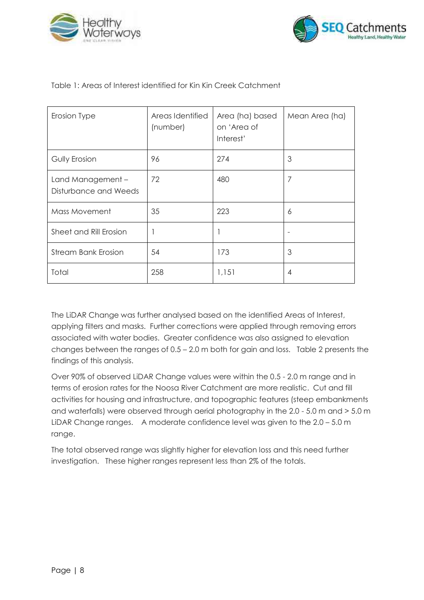



| Erosion Type                              | Areas Identified<br>(number) | Area (ha) based<br>on 'Area of<br>Interest' | Mean Area (ha) |
|-------------------------------------------|------------------------------|---------------------------------------------|----------------|
| Gully Erosion                             | 96                           | 274                                         | 3              |
| Land Management-<br>Disturbance and Weeds | 72                           | 480                                         | 7              |
| Mass Movement                             | 35                           | 223                                         | 6              |
| Sheet and Rill Erosion                    |                              |                                             |                |
| <b>Stream Bank Erosion</b>                | 54                           | 173                                         | 3              |
| Total                                     | 258                          | 1,151                                       | $\overline{4}$ |

#### Table 1: Areas of Interest identified for Kin Kin Creek Catchment

The LiDAR Change was further analysed based on the identified Areas of Interest, applying filters and masks. Further corrections were applied through removing errors associated with water bodies. Greater confidence was also assigned to elevation changes between the ranges of 0.5 – 2.0 m both for gain and loss. Table 2 presents the findings of this analysis.

Over 90% of observed LiDAR Change values were within the 0.5 - 2.0 m range and in terms of erosion rates for the Noosa River Catchment are more realistic. Cut and fill activities for housing and infrastructure, and topographic features (steep embankments and waterfalls) were observed through aerial photography in the 2.0 - 5.0 m and > 5.0 m LiDAR Change ranges. A moderate confidence level was given to the 2.0 – 5.0 m range.

The total observed range was slightly higher for elevation loss and this need further investigation. These higher ranges represent less than 2% of the totals.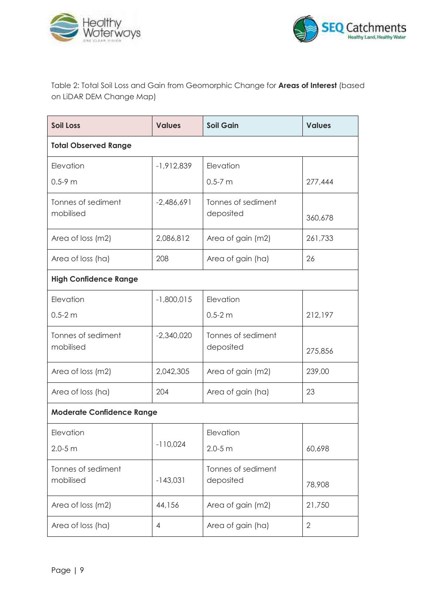



Table 2: Total Soil Loss and Gain from Geomorphic Change for **Areas of Interest** (based on LiDAR DEM Change Map)

| <b>Soil Loss</b>                 | <b>Values</b> | <b>Soil Gain</b>                | <b>Values</b>  |  |
|----------------------------------|---------------|---------------------------------|----------------|--|
| <b>Total Observed Range</b>      |               |                                 |                |  |
| Elevation                        | $-1,912,839$  | Elevation                       |                |  |
| $0.5 - 9$ m                      |               | $0.5 - 7$ m                     | 277,444        |  |
| Tonnes of sediment               | $-2,486,691$  | Tonnes of sediment              |                |  |
| mobilised                        |               | deposited                       | 360,678        |  |
| Area of loss (m2)                | 2,086,812     | Area of gain (m2)               | 261,733        |  |
| Area of loss (ha)                | 208           | Area of gain (ha)               | 26             |  |
| <b>High Confidence Range</b>     |               |                                 |                |  |
| Elevation                        | $-1,800,015$  | Elevation                       |                |  |
| $0.5 - 2m$                       |               | $0.5 - 2m$                      | 212,197        |  |
| Tonnes of sediment               | $-2,340,020$  | Tonnes of sediment              |                |  |
| mobilised                        |               | deposited                       | 275,856        |  |
| Area of loss (m2)                | 2,042,305     | Area of gain (m2)               | 239,00         |  |
| Area of loss (ha)                | 204           | Area of gain (ha)               | 23             |  |
| <b>Moderate Confidence Range</b> |               |                                 |                |  |
| Elevation                        |               | Elevation                       |                |  |
| $2.0 - 5 m$                      | $-110,024$    | $2.0 - 5 m$                     | 60,698         |  |
| Tonnes of sediment<br>mobilised  | $-143,031$    | Tonnes of sediment<br>deposited |                |  |
|                                  |               |                                 | 78,908         |  |
| Area of loss (m2)                | 44,156        | Area of gain (m2)               | 21,750         |  |
| Area of loss (ha)                | 4             | Area of gain (ha)               | $\overline{2}$ |  |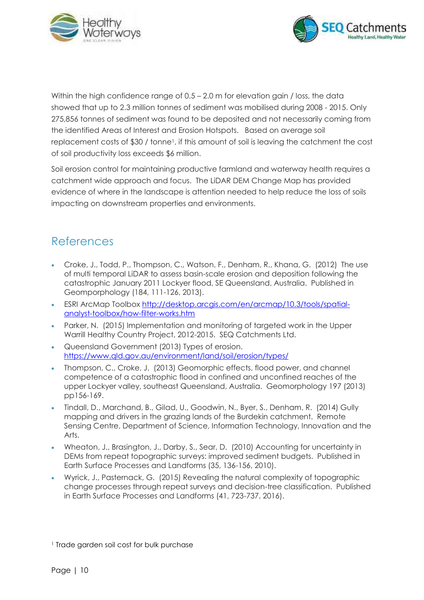



Within the high confidence range of 0.5 – 2.0 m for elevation gain / loss, the data showed that up to 2.3 million tonnes of sediment was mobilised during 2008 - 2015. Only 275,856 tonnes of sediment was found to be deposited and not necessarily coming from the identified Areas of Interest and Erosion Hotspots. Based on average soil replacement costs of \$30 / tonne1, if this amount of soil is leaving the catchment the cost of soil productivity loss exceeds \$6 million.

Soil erosion control for maintaining productive farmland and waterway health requires a catchment wide approach and focus. The LiDAR DEM Change Map has provided evidence of where in the landscape is attention needed to help reduce the loss of soils impacting on downstream properties and environments.

# <span id="page-12-0"></span>References

- Croke, J., Todd, P., Thompson, C., Watson, F., Denham, R., Khana, G. (2012) The use of multi temporal LiDAR to assess basin-scale erosion and deposition following the catastrophic January 2011 Lockyer flood, SE Queensland, Australia. Published in Geomporphology (184, 111-126, 2013).
- ESRI ArcMap Toolbox [http://desktop.arcgis.com/en/arcmap/10.3/tools/spatial](http://desktop.arcgis.com/en/arcmap/10.3/tools/spatial-analyst-toolbox/how-filter-works.htm)[analyst-toolbox/how-filter-works.htm](http://desktop.arcgis.com/en/arcmap/10.3/tools/spatial-analyst-toolbox/how-filter-works.htm)
- Parker, N. (2015) Implementation and monitoring of targeted work in the Upper Warrill Healthy Country Project, 2012-2015. SEQ Catchments Ltd.
- Queensland Government (2013) Types of erosion. <https://www.qld.gov.au/environment/land/soil/erosion/types/>
- Thompson, C., Croke, J. (2013) Geomorphic effects, flood power, and channel competence of a catastrophic flood in confined and unconfined reaches of the upper Lockyer valley, southeast Queensland, Australia. Geomorphology 197 (2013) pp156-169.
- Tindall, D., Marchand, B., Gilad, U., Goodwin, N., Byer, S., Denham, R. (2014) Gully mapping and drivers in the grazing lands of the Burdekin catchment. Remote Sensing Centre, Department of Science, Information Technology, Innovation and the Arts.
- Wheaton, J., Brasington, J., Darby, S., Sear, D. (2010) Accounting for uncertainty in DEMs from repeat topographic surveys: improved sediment budgets. Published in Earth Surface Processes and Landforms (35, 136-156, 2010).
- Wyrick, J., Pasternack, G. (2015) Revealing the natural complexity of topographic change processes through repeat surveys and decision-tree classification. Published in Earth Surface Processes and Landforms (41, 723-737, 2016).

<sup>1</sup> Trade garden soil cost for bulk purchase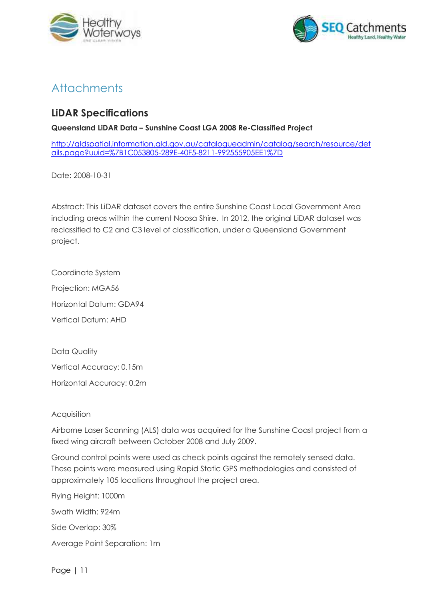



# <span id="page-13-0"></span>**Attachments**

### <span id="page-13-1"></span>**LiDAR Specifications**

**Queensland LiDAR Data – Sunshine Coast LGA 2008 Re-Classified Project** 

[http://qldspatial.information.qld.gov.au/catalogueadmin/catalog/search/resource/det](http://qldspatial.information.qld.gov.au/catalogueadmin/catalog/search/resource/details.page?uuid=%7B1C053805-289E-40F5-8211-992555905EE1%7D) [ails.page?uuid=%7B1C053805-289E-40F5-8211-992555905EE1%7D](http://qldspatial.information.qld.gov.au/catalogueadmin/catalog/search/resource/details.page?uuid=%7B1C053805-289E-40F5-8211-992555905EE1%7D)

Date: 2008-10-31

Abstract: This LiDAR dataset covers the entire Sunshine Coast Local Government Area including areas within the current Noosa Shire. In 2012, the original LiDAR dataset was reclassified to C2 and C3 level of classification, under a Queensland Government project.

Coordinate System Projection: MGA56 Horizontal Datum: GDA94 Vertical Datum: AHD

Data Quality Vertical Accuracy: 0.15m Horizontal Accuracy: 0.2m

Acquisition

Airborne Laser Scanning (ALS) data was acquired for the Sunshine Coast project from a fixed wing aircraft between October 2008 and July 2009.

Ground control points were used as check points against the remotely sensed data. These points were measured using Rapid Static GPS methodologies and consisted of approximately 105 locations throughout the project area.

Flying Height: 1000m Swath Width: 924m Side Overlap: 30% Average Point Separation: 1m

Page | 11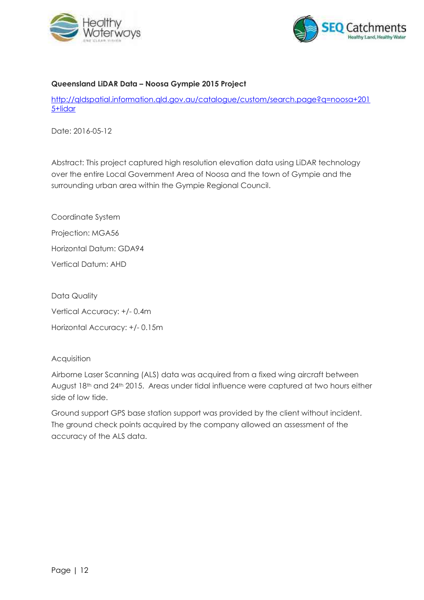



#### **Queensland LiDAR Data – Noosa Gympie 2015 Project**

[http://qldspatial.information.qld.gov.au/catalogue/custom/search.page?q=noosa+201](http://qldspatial.information.qld.gov.au/catalogue/custom/search.page?q=noosa+2015+lidar) [5+lidar](http://qldspatial.information.qld.gov.au/catalogue/custom/search.page?q=noosa+2015+lidar)

Date: 2016-05-12

Abstract: This project captured high resolution elevation data using LiDAR technology over the entire Local Government Area of Noosa and the town of Gympie and the surrounding urban area within the Gympie Regional Council.

Coordinate System Projection: MGA56 Horizontal Datum: GDA94 Vertical Datum: AHD

Data Quality Vertical Accuracy: +/- 0.4m Horizontal Accuracy: +/- 0.15m

#### **Acquisition**

Airborne Laser Scanning (ALS) data was acquired from a fixed wing aircraft between August 18th and 24th 2015. Areas under tidal influence were captured at two hours either side of low tide.

Ground support GPS base station support was provided by the client without incident. The ground check points acquired by the company allowed an assessment of the accuracy of the ALS data.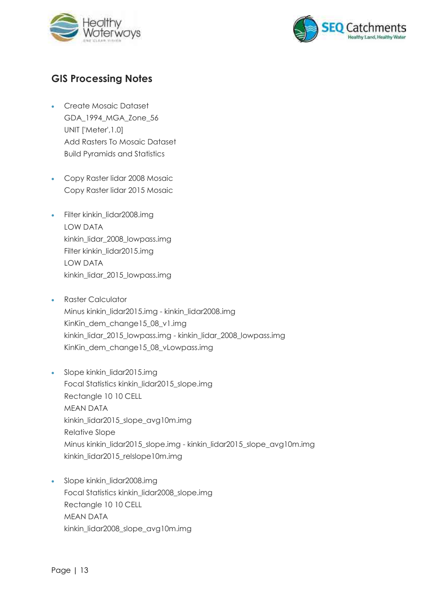



### <span id="page-15-0"></span>**GIS Processing Notes**

- Create Mosaic Dataset GDA\_1994\_MGA\_Zone\_56 UNIT ['Meter',1.0] Add Rasters To Mosaic Dataset Build Pyramids and Statistics
- Copy Raster lidar 2008 Mosaic Copy Raster lidar 2015 Mosaic
- Filter kinkin\_lidar2008.img LOW DATA kinkin\_lidar\_2008\_lowpass.img Filter kinkin\_lidar2015.img LOW DATA kinkin\_lidar\_2015\_lowpass.img
- Raster Calculator Minus kinkin\_lidar2015.img - kinkin\_lidar2008.img KinKin\_dem\_change15\_08\_v1.img kinkin\_lidar\_2015\_lowpass.img - kinkin\_lidar\_2008\_lowpass.img KinKin\_dem\_change15\_08\_vLowpass.img
- Slope kinkin\_lidar2015.img Focal Statistics kinkin\_lidar2015\_slope.img Rectangle 10 10 CELL MEAN DATA kinkin\_lidar2015\_slope\_avg10m.img Relative Slope Minus kinkin\_lidar2015\_slope.img - kinkin\_lidar2015\_slope\_avg10m.img kinkin\_lidar2015\_relslope10m.img
- Slope kinkin\_lidar2008.img Focal Statistics kinkin\_lidar2008\_slope.img Rectangle 10 10 CELL MEAN DATA kinkin\_lidar2008\_slope\_avg10m.img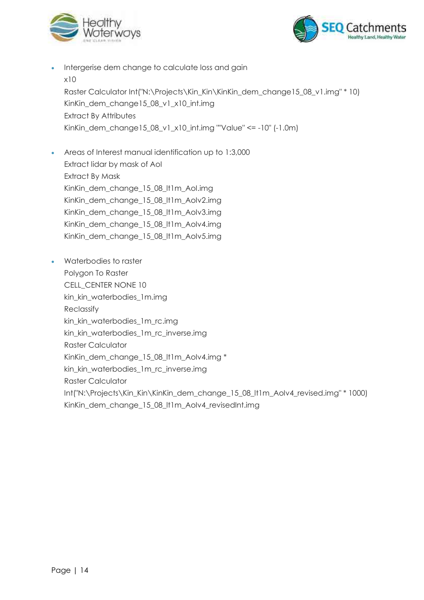



- Intergerise dem change to calculate loss and gain x10 Raster Calculator Int("N:\Projects\Kin\_Kin\KinKin\_dem\_change15\_08\_v1.img" \* 10) KinKin\_dem\_change15\_08\_v1\_x10\_int.img Extract By Attributes KinKin\_dem\_change15\_08\_v1\_x10\_int.img ""Value" <= -10" (-1.0m)
- Areas of Interest manual identification up to 1:3,000 Extract lidar by mask of AoI Extract By Mask KinKin\_dem\_change\_15\_08\_lt1m\_AoI.img KinKin\_dem\_change\_15\_08\_lt1m\_AoIv2.img KinKin\_dem\_change\_15\_08\_lt1m\_AoIv3.img KinKin\_dem\_change\_15\_08\_lt1m\_AoIv4.img KinKin\_dem\_change\_15\_08\_lt1m\_AoIv5.img
- Waterbodies to raster Polygon To Raster CELL\_CENTER NONE 10 kin\_kin\_waterbodies\_1m.img Reclassify kin\_kin\_waterbodies\_1m\_rc.img kin\_kin\_waterbodies\_1m\_rc\_inverse.img Raster Calculator KinKin\_dem\_change\_15\_08\_lt1m\_AoIv4.img \* kin\_kin\_waterbodies\_1m\_rc\_inverse.img Raster Calculator Int("N:\Projects\Kin\_Kin\KinKin\_dem\_change\_15\_08\_lt1m\_AoIv4\_revised.img" \* 1000) KinKin\_dem\_change\_15\_08\_lt1m\_AoIv4\_revisedInt.img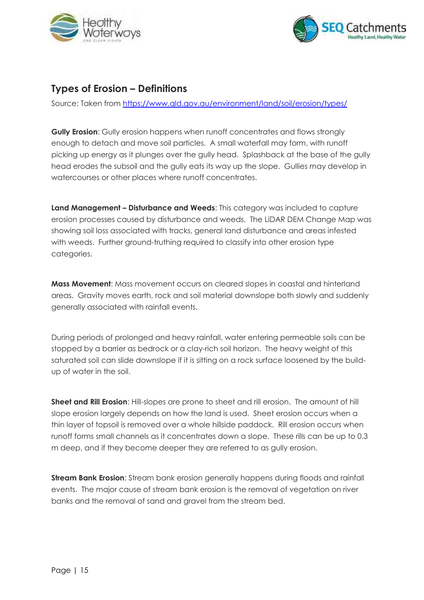



### <span id="page-17-0"></span>**Types of Erosion – Definitions**

Source: Taken from<https://www.qld.gov.au/environment/land/soil/erosion/types/>

**Gully Erosion**: Gully erosion happens when runoff concentrates and flows strongly enough to detach and move soil particles. A small waterfall may form, with runoff picking up energy as it plunges over the gully head. Splashback at the base of the gully head erodes the subsoil and the gully eats its way up the slope. Gullies may develop in watercourses or other places where runoff concentrates.

**Land Management – Disturbance and Weeds**: This category was included to capture erosion processes caused by disturbance and weeds. The LiDAR DEM Change Map was showing soil loss associated with tracks, general land disturbance and areas infested with weeds. Further ground-truthing required to classify into other erosion type categories.

**Mass Movement**: Mass movement occurs on cleared slopes in coastal and hinterland areas. Gravity moves earth, rock and soil material downslope both slowly and suddenly generally associated with rainfall events.

During periods of prolonged and heavy rainfall, water entering permeable soils can be stopped by a barrier as bedrock or a clay-rich soil horizon. The heavy weight of this saturated soil can slide downslope if it is sitting on a rock surface loosened by the buildup of water in the soil.

**Sheet and Rill Erosion**: Hill-slopes are prone to sheet and rill erosion. The amount of hill slope erosion largely depends on how the land is used. Sheet erosion occurs when a thin layer of topsoil is removed over a whole hillside paddock. Rill erosion occurs when runoff forms small channels as it concentrates down a slope. These rills can be up to 0.3 m deep, and if they become deeper they are referred to as gully erosion.

**Stream Bank Erosion**: Stream bank erosion generally happens during floods and rainfall events. The major cause of stream bank erosion is the removal of vegetation on river banks and the removal of sand and gravel from the stream bed.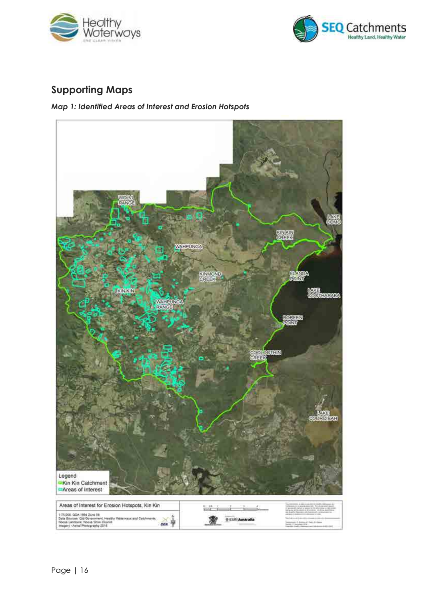



### <span id="page-18-0"></span>**Supporting Maps**

#### *Map 1: Identified Areas of Interest and Erosion Hotspots*

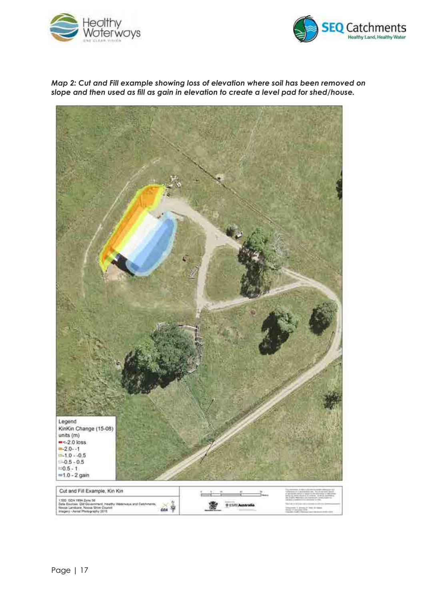



*Map 2: Cut and Fill example showing loss of elevation where soil has been removed on slope and then used as fill as gain in elevation to create a level pad for shed/house.* 

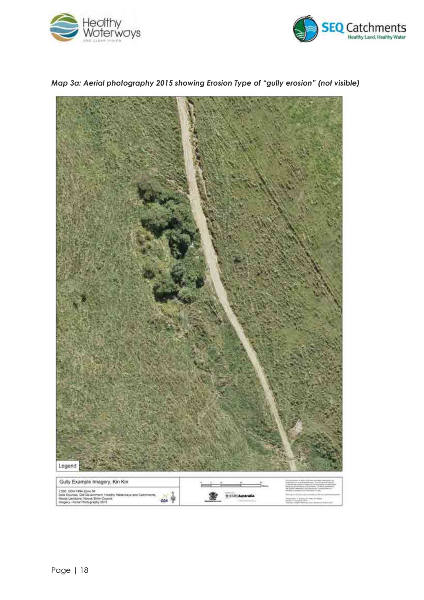





*Map 3a: Aerial photography 2015 showing Erosion Type of "gully erosion" (not visible)*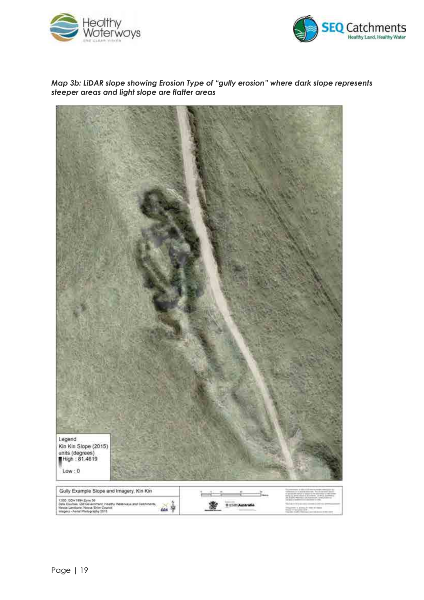



*Map 3b: LiDAR slope showing Erosion Type of "gully erosion" where dark slope represents steeper areas and light slope are flatter areas* 

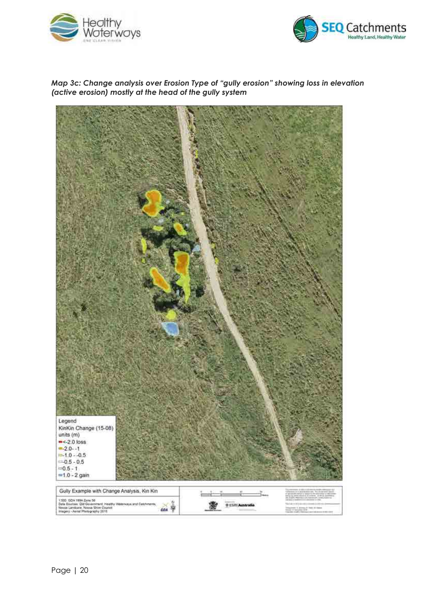



*Map 3c: Change analysis over Erosion Type of "gully erosion" showing loss in elevation (active erosion) mostly at the head of the gully system* 

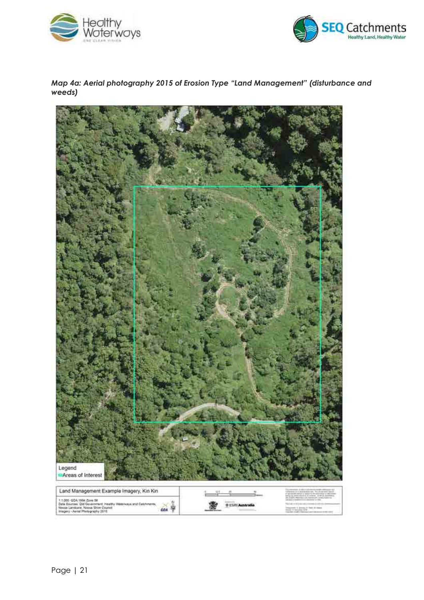



*Map 4a: Aerial photography 2015 of Erosion Type "Land Management" (disturbance and weeds)* 

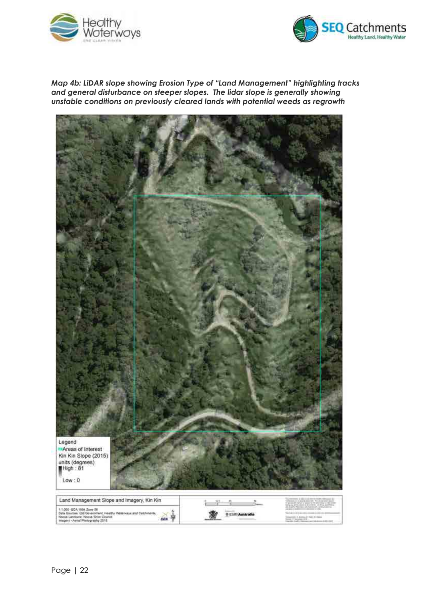



*Map 4b: LiDAR slope showing Erosion Type of "Land Management" highlighting tracks and general disturbance on steeper slopes. The lidar slope is generally showing unstable conditions on previously cleared lands with potential weeds as regrowth* 

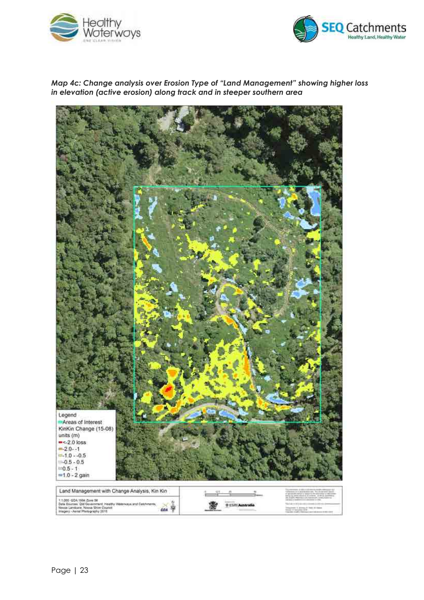



*Map 4c: Change analysis over Erosion Type of "Land Management" showing higher loss in elevation (active erosion) along track and in steeper southern area* 

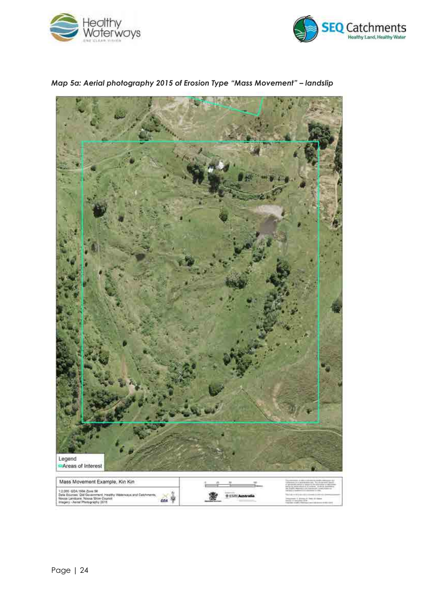





*Map 5a: Aerial photography 2015 of Erosion Type "Mass Movement" – landslip*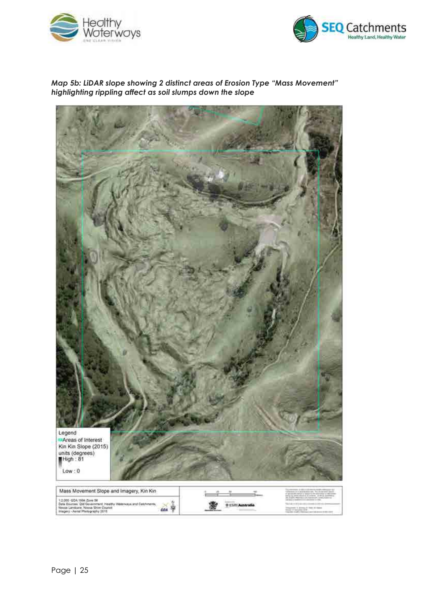



*Map 5b: LiDAR slope showing 2 distinct areas of Erosion Type "Mass Movement" highlighting rippling affect as soil slumps down the slope* 

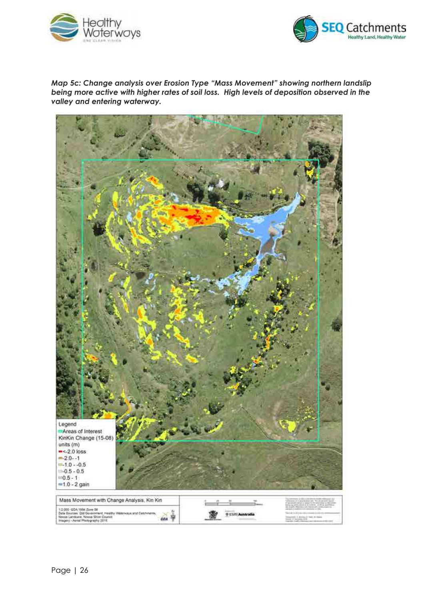



*Map 5c: Change analysis over Erosion Type "Mass Movement" showing northern landslip being more active with higher rates of soil loss. High levels of deposition observed in the valley and entering waterway.* 

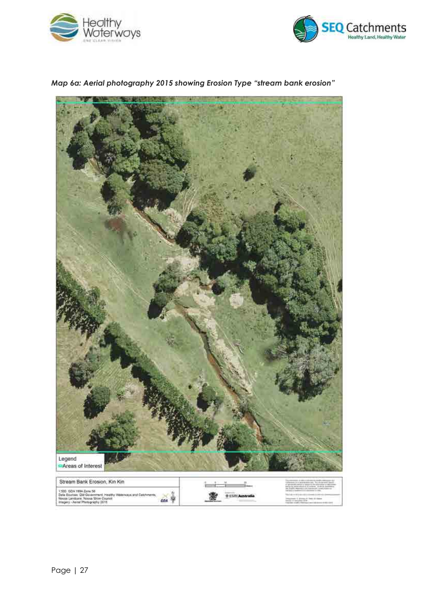





*Map 6a: Aerial photography 2015 showing Erosion Type "stream bank erosion"*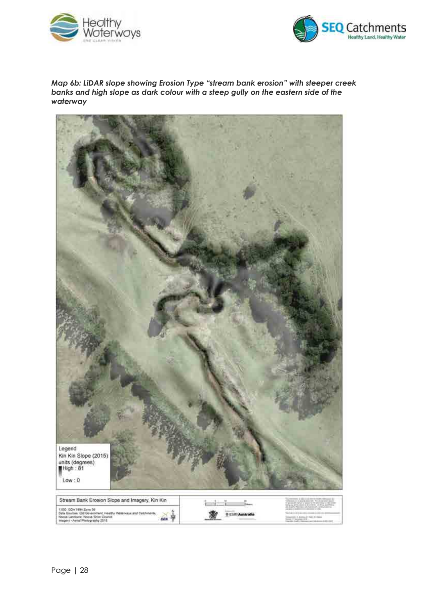



*Map 6b: LiDAR slope showing Erosion Type "stream bank erosion" with steeper creek banks and high slope as dark colour with a steep gully on the eastern side of the waterway*